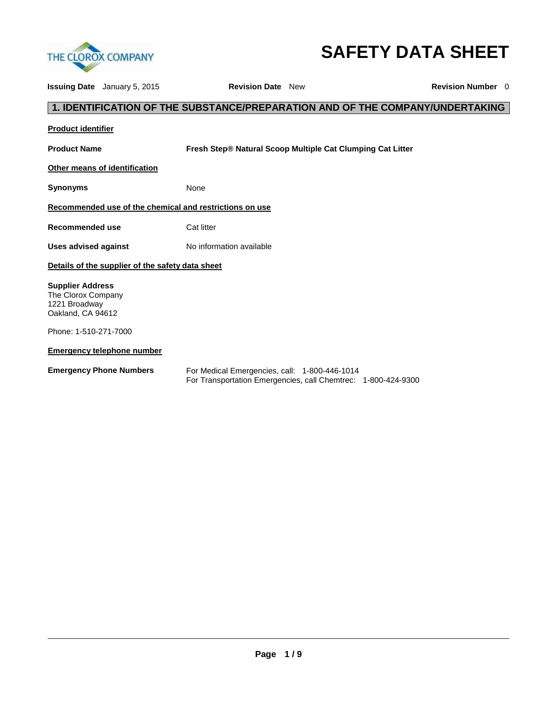

# **SAFETY DATA SHEET**

|                                                                                     | <b>Issuing Date</b> January 5, 2015              | <b>Revision Date</b> New                                |                                                                               | <b>Revision Number</b> 0 |
|-------------------------------------------------------------------------------------|--------------------------------------------------|---------------------------------------------------------|-------------------------------------------------------------------------------|--------------------------|
|                                                                                     |                                                  |                                                         | 1. IDENTIFICATION OF THE SUBSTANCE/PREPARATION AND OF THE COMPANY/UNDERTAKING |                          |
| <b>Product identifier</b>                                                           |                                                  |                                                         |                                                                               |                          |
| <b>Product Name</b>                                                                 |                                                  |                                                         | Fresh Step® Natural Scoop Multiple Cat Clumping Cat Litter                    |                          |
|                                                                                     | Other means of identification                    |                                                         |                                                                               |                          |
| <b>Synonyms</b>                                                                     |                                                  | None                                                    |                                                                               |                          |
|                                                                                     |                                                  | Recommended use of the chemical and restrictions on use |                                                                               |                          |
| <b>Recommended use</b>                                                              |                                                  | Cat litter                                              |                                                                               |                          |
| <b>Uses advised against</b>                                                         |                                                  | No information available                                |                                                                               |                          |
|                                                                                     | Details of the supplier of the safety data sheet |                                                         |                                                                               |                          |
| <b>Supplier Address</b><br>The Clorox Company<br>1221 Broadway<br>Oakland, CA 94612 |                                                  |                                                         |                                                                               |                          |
| Phone: 1-510-271-7000                                                               |                                                  |                                                         |                                                                               |                          |
|                                                                                     | <b>Emergency telephone number</b>                |                                                         |                                                                               |                          |
|                                                                                     | <b>Emergency Phone Numbers</b>                   | For Medical Emergencies, call: 1-800-446-1014           | For Transportation Emergencies, call Chemtrec: 1-800-424-9300                 |                          |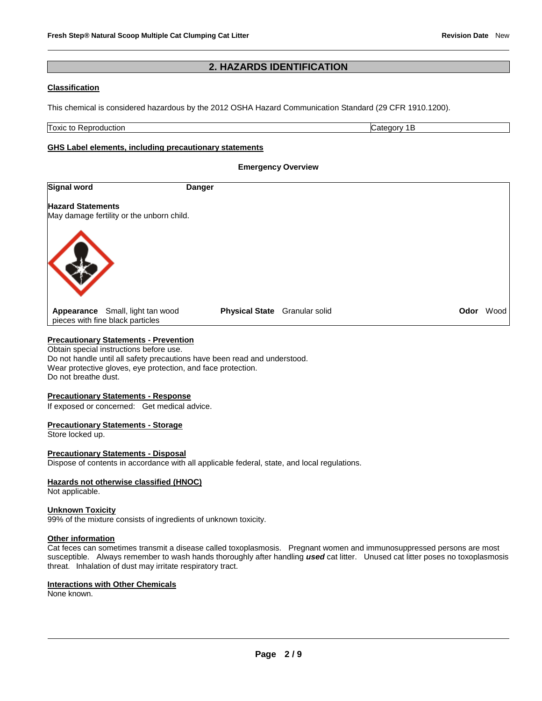# **2. HAZARDS IDENTIFICATION**

# **Classification**

This chemical is considered hazardous by the 2012 OSHA Hazard Communication Standard (29 CFR 1910.1200).

Toxic to Reproduction Category 1B

### **GHS Label elements, including precautionary statements**

|                          |                                                                      | <b>Emergency Overview</b>     |  |      |      |
|--------------------------|----------------------------------------------------------------------|-------------------------------|--|------|------|
| <b>Signal word</b>       |                                                                      | <b>Danger</b>                 |  |      |      |
| <b>Hazard Statements</b> | May damage fertility or the unborn child.                            |                               |  |      |      |
|                          |                                                                      |                               |  |      |      |
|                          | Appearance Small, light tan wood<br>pieces with fine black particles | Physical State Granular solid |  | Odor | Wood |

# **Precautionary Statements - Prevention**

Obtain special instructions before use. Do not handle until all safety precautions have been read and understood. Wear protective gloves, eye protection, and face protection. Do not breathe dust.

### **Precautionary Statements - Response**

If exposed or concerned: Get medical advice.

### **Precautionary Statements - Storage**

Store locked up.

# **Precautionary Statements - Disposal**

Dispose of contents in accordance with all applicable federal, state, and local regulations.

# **Hazards not otherwise classified (HNOC)**

Not applicable.

### **Unknown Toxicity**

99% of the mixture consists of ingredients of unknown toxicity.

### **Other information**

Cat feces can sometimes transmit a disease called toxoplasmosis. Pregnant women and immunosuppressed persons are most susceptible. Always remember to wash hands thoroughly after handling used cat litter. Unused cat litter poses no toxoplasmosis threat. Inhalation of dust may irritate respiratory tract.

# **Interactions with Other Chemicals**

None known.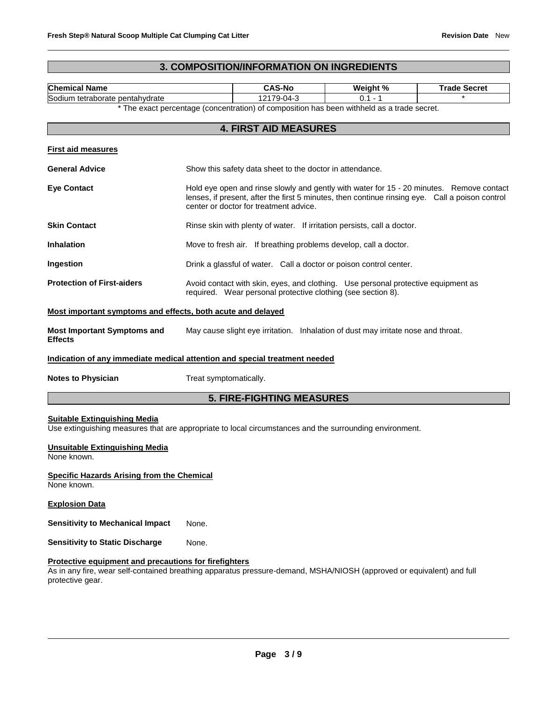# **3. COMPOSITION/INFORMATION ON INGREDIENTS**

| <b>Chemical Name</b>                                                                                                                           |                                                                                                                                                                                                                                       | <b>CAS-No</b>                                                                              | Weight %  | <b>Trade Secret</b> |
|------------------------------------------------------------------------------------------------------------------------------------------------|---------------------------------------------------------------------------------------------------------------------------------------------------------------------------------------------------------------------------------------|--------------------------------------------------------------------------------------------|-----------|---------------------|
| Sodium tetraborate pentahydrate                                                                                                                |                                                                                                                                                                                                                                       | $\overline{12179}$ -04-3                                                                   | $0.1 - 1$ |                     |
|                                                                                                                                                |                                                                                                                                                                                                                                       | * The exact percentage (concentration) of composition has been withheld as a trade secret. |           |                     |
|                                                                                                                                                |                                                                                                                                                                                                                                       | <b>4. FIRST AID MEASURES</b>                                                               |           |                     |
| <b>First aid measures</b>                                                                                                                      |                                                                                                                                                                                                                                       |                                                                                            |           |                     |
| <b>General Advice</b>                                                                                                                          |                                                                                                                                                                                                                                       | Show this safety data sheet to the doctor in attendance.                                   |           |                     |
| <b>Eye Contact</b>                                                                                                                             | Hold eye open and rinse slowly and gently with water for 15 - 20 minutes. Remove contact<br>lenses, if present, after the first 5 minutes, then continue rinsing eye. Call a poison control<br>center or doctor for treatment advice. |                                                                                            |           |                     |
| <b>Skin Contact</b>                                                                                                                            |                                                                                                                                                                                                                                       | Rinse skin with plenty of water. If irritation persists, call a doctor.                    |           |                     |
| <b>Inhalation</b>                                                                                                                              | Move to fresh air. If breathing problems develop, call a doctor.                                                                                                                                                                      |                                                                                            |           |                     |
| Ingestion                                                                                                                                      | Drink a glassful of water. Call a doctor or poison control center.                                                                                                                                                                    |                                                                                            |           |                     |
| <b>Protection of First-aiders</b>                                                                                                              | Avoid contact with skin, eyes, and clothing. Use personal protective equipment as<br>required. Wear personal protective clothing (see section 8).                                                                                     |                                                                                            |           |                     |
| Most important symptoms and effects, both acute and delayed                                                                                    |                                                                                                                                                                                                                                       |                                                                                            |           |                     |
| <b>Most Important Symptoms and</b><br><b>Effects</b>                                                                                           |                                                                                                                                                                                                                                       | May cause slight eye irritation. Inhalation of dust may irritate nose and throat.          |           |                     |
| Indication of any immediate medical attention and special treatment needed                                                                     |                                                                                                                                                                                                                                       |                                                                                            |           |                     |
| <b>Notes to Physician</b>                                                                                                                      | Treat symptomatically.                                                                                                                                                                                                                |                                                                                            |           |                     |
|                                                                                                                                                |                                                                                                                                                                                                                                       | <b>5. FIRE-FIGHTING MEASURES</b>                                                           |           |                     |
| <b>Suitable Extinguishing Media</b><br>Use extinguishing measures that are appropriate to local circumstances and the surrounding environment. |                                                                                                                                                                                                                                       |                                                                                            |           |                     |

# **Unsuitable Extinguishing Media**

None known.

**Specific Hazards Arising from the Chemical** None known.

### **Explosion Data**

**Sensitivity to Mechanical Impact** None.

**Sensitivity to Static Discharge Mone.** 

# **Protective equipment and precautions for firefighters**

As in any fire, wear self-contained breathing apparatus pressure-demand, MSHA/NIOSH (approved or equivalent) and full protective gear.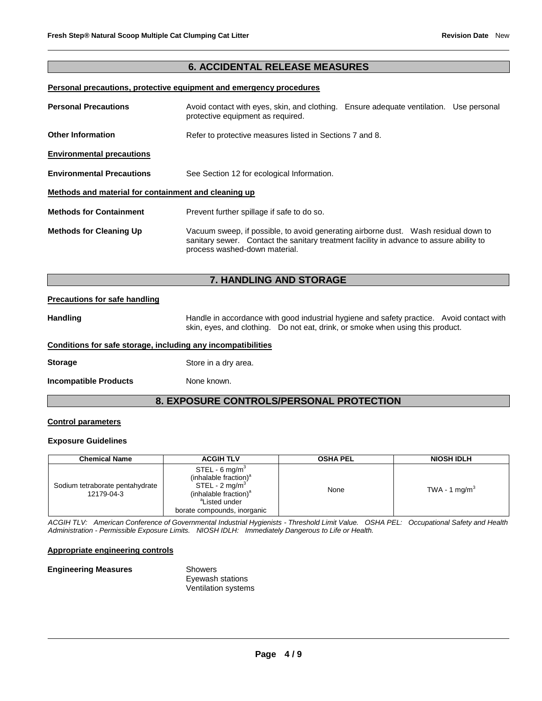# **6. ACCIDENTAL RELEASE MEASURES**

# **Personal precautions, protective equipment and emergency procedures**

| <b>Personal Precautions</b>                          | Avoid contact with eyes, skin, and clothing. Ensure adequate ventilation. Use personal<br>protective equipment as required.                                                                                      |  |  |  |
|------------------------------------------------------|------------------------------------------------------------------------------------------------------------------------------------------------------------------------------------------------------------------|--|--|--|
| <b>Other Information</b>                             | Refer to protective measures listed in Sections 7 and 8.                                                                                                                                                         |  |  |  |
| <b>Environmental precautions</b>                     |                                                                                                                                                                                                                  |  |  |  |
| <b>Environmental Precautions</b>                     | See Section 12 for ecological Information.                                                                                                                                                                       |  |  |  |
| Methods and material for containment and cleaning up |                                                                                                                                                                                                                  |  |  |  |
| <b>Methods for Containment</b>                       | Prevent further spillage if safe to do so.                                                                                                                                                                       |  |  |  |
| <b>Methods for Cleaning Up</b>                       | Vacuum sweep, if possible, to avoid generating airborne dust.  Wash residual down to<br>sanitary sewer. Contact the sanitary treatment facility in advance to assure ability to<br>process washed-down material. |  |  |  |

# **7. HANDLING AND STORAGE**

### **Precautions for safe handling**

Handling **Handle in accordance with good industrial hygiene and safety practice. Avoid contact with and the Handle in accordance with good industrial hygiene and safety practice. Avoid contact with** skin, eyes, and clothing. Do not eat, drink, or smoke when using this product.

### **Conditions for safe storage, including any incompatibilities**

**Storage** Store in a dry area.

**Incompatible Products** None known.

# **8. EXPOSURE CONTROLS/PERSONAL PROTECTION**

### **Control parameters**

# **Exposure Guidelines**

| <b>Chemical Name</b>                          | <b>ACGIH TLV</b>                                                                                                                                                                     | <b>OSHA PEL</b> | <b>NIOSH IDLH</b> |
|-----------------------------------------------|--------------------------------------------------------------------------------------------------------------------------------------------------------------------------------------|-----------------|-------------------|
| Sodium tetraborate pentahydrate<br>12179-04-3 | STEL - 6 mg/m <sup>3</sup><br>(inhalable fraction) <sup>a</sup><br>$STEL - 2 mg/m3$<br>(inhalable fraction) <sup>a</sup><br><sup>a</sup> Listed under<br>borate compounds, inorganic | None            | TWA - 1 mg/m $^3$ |

*ACGIH TLV: American Conference of Governmental Industrial Hygienists - Threshold Limit Value. OSHA PEL: Occupational Safety and Health Administration - Permissible Exposure Limits. NIOSH IDLH: Immediately Dangerous to Life or Health.*

### **Appropriate engineering controls**

### **Engineering Measures Showers** Eyewash stations Ventilation systems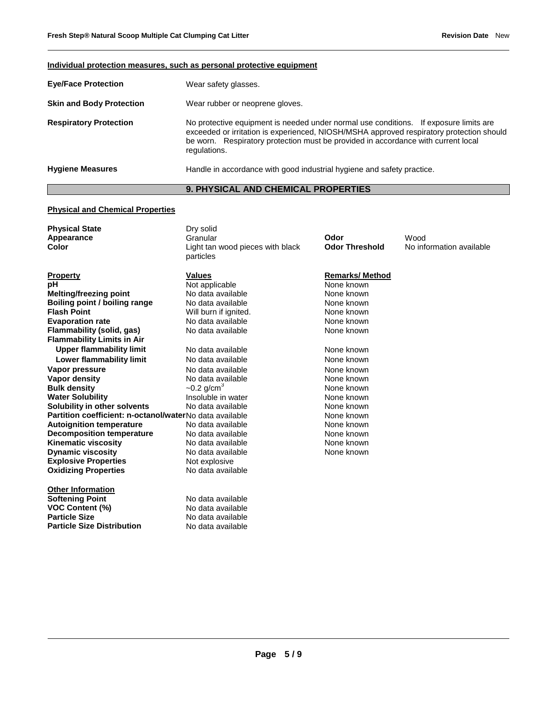**Individual protection measures, such as personal protective equipment**

|                                 | individual protection measures, such as personal protective equipment                                                                                                                                                                                                                  |
|---------------------------------|----------------------------------------------------------------------------------------------------------------------------------------------------------------------------------------------------------------------------------------------------------------------------------------|
| <b>Eye/Face Protection</b>      | Wear safety glasses.                                                                                                                                                                                                                                                                   |
| <b>Skin and Body Protection</b> | Wear rubber or neoprene gloves.                                                                                                                                                                                                                                                        |
| <b>Respiratory Protection</b>   | No protective equipment is needed under normal use conditions. If exposure limits are<br>exceeded or irritation is experienced, NIOSH/MSHA approved respiratory protection should<br>be worn. Respiratory protection must be provided in accordance with current local<br>regulations. |
| <b>Hygiene Measures</b>         | Handle in accordance with good industrial hygiene and safety practice.                                                                                                                                                                                                                 |

# **9. PHYSICAL AND CHEMICAL PROPERTIES**

# **Physical and Chemical Properties**

| <b>Physical State</b>                                   | Dry solid                        |                       |                          |
|---------------------------------------------------------|----------------------------------|-----------------------|--------------------------|
| Appearance                                              | Granular                         | Odor                  | Wood                     |
| Color                                                   | Light tan wood pieces with black | <b>Odor Threshold</b> | No information available |
|                                                         | particles                        |                       |                          |
| <b>Property</b>                                         | <b>Values</b>                    | <b>Remarks/Method</b> |                          |
| рH                                                      | Not applicable                   | None known            |                          |
| <b>Melting/freezing point</b>                           | No data available                | None known            |                          |
| Boiling point / boiling range                           | No data available                | None known            |                          |
| <b>Flash Point</b>                                      | Will burn if ignited.            | None known            |                          |
| <b>Evaporation rate</b>                                 | No data available                | None known            |                          |
| Flammability (solid, gas)                               | No data available                | None known            |                          |
| <b>Flammability Limits in Air</b>                       |                                  |                       |                          |
| <b>Upper flammability limit</b>                         | No data available                | None known            |                          |
| Lower flammability limit                                | No data available                | None known            |                          |
| Vapor pressure                                          | No data available                | None known            |                          |
| <b>Vapor density</b>                                    | No data available                | None known            |                          |
| <b>Bulk density</b>                                     | $-0.2$ g/cm <sup>3</sup>         | None known            |                          |
| <b>Water Solubility</b>                                 | Insoluble in water               | None known            |                          |
| Solubility in other solvents                            | No data available                | None known            |                          |
| Partition coefficient: n-octanol/waterNo data available |                                  | None known            |                          |
| <b>Autoignition temperature</b>                         | No data available                | None known            |                          |
| <b>Decomposition temperature</b>                        | No data available                | None known            |                          |
| <b>Kinematic viscosity</b>                              | No data available                | None known            |                          |
| <b>Dynamic viscosity</b>                                | No data available                | None known            |                          |
| <b>Explosive Properties</b>                             | Not explosive                    |                       |                          |
| <b>Oxidizing Properties</b>                             | No data available                |                       |                          |
| <b>Other Information</b>                                |                                  |                       |                          |
| <b>Softening Point</b>                                  | No data available                |                       |                          |
| <b>VOC Content (%)</b>                                  | No data available                |                       |                          |
| <b>Particle Size</b>                                    | No data available                |                       |                          |
| <b>Particle Size Distribution</b>                       | No data available                |                       |                          |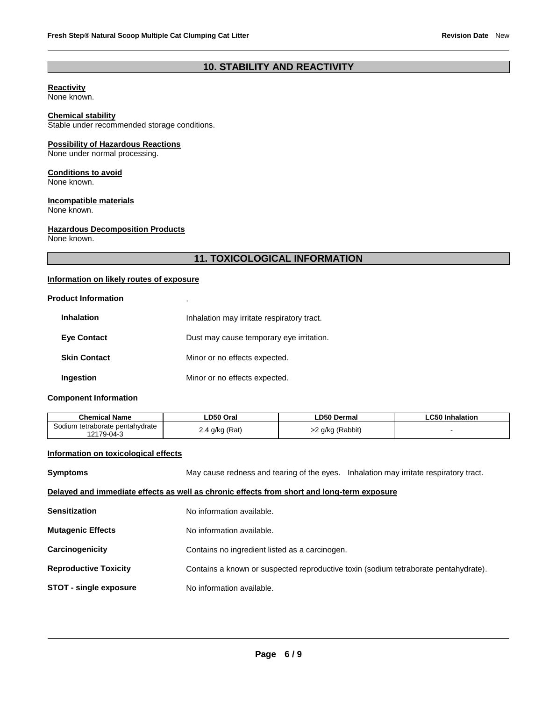# **10. STABILITY AND REACTIVITY**

# **Reactivity**

None known.

# **Chemical stability**

Stable under recommended storage conditions.

# **Possibility of Hazardous Reactions**

None under normal processing.

# **Conditions to avoid**

None known.

# **Incompatible materials**

None known.

# **Hazardous Decomposition Products**

None known.

# **11. TOXICOLOGICAL INFORMATION**

# **Information on likely routes of exposure**

### **Product Information** .

| <b>Inhalation</b>   | Inhalation may irritate respiratory tract. |
|---------------------|--------------------------------------------|
| <b>Eve Contact</b>  | Dust may cause temporary eye irritation.   |
| <b>Skin Contact</b> | Minor or no effects expected.              |
| Ingestion           | Minor or no effects expected.              |

# **Component Information**

| Chemical Name                                               | <b>_D50 Oral</b> | ∟D50 Dermal    | ∟C50 Inhalation |
|-------------------------------------------------------------|------------------|----------------|-----------------|
| m tetraborate pentahydrate<br>odiumہ <b>۔</b><br>12179-04-3 | ⊦q/kg (Rat`      | `q/kg (Rabbit) |                 |

# **Information on toxicological effects**

| <b>Symptoms</b>               | May cause redness and tearing of the eyes. Inhalation may irritate respiratory tract.      |  |
|-------------------------------|--------------------------------------------------------------------------------------------|--|
|                               | Delayed and immediate effects as well as chronic effects from short and long-term exposure |  |
| <b>Sensitization</b>          | No information available.                                                                  |  |
| <b>Mutagenic Effects</b>      | No information available.                                                                  |  |
| Carcinogenicity               | Contains no ingredient listed as a carcinogen.                                             |  |
| <b>Reproductive Toxicity</b>  | Contains a known or suspected reproductive toxin (sodium tetraborate pentahydrate).        |  |
| <b>STOT - single exposure</b> | No information available.                                                                  |  |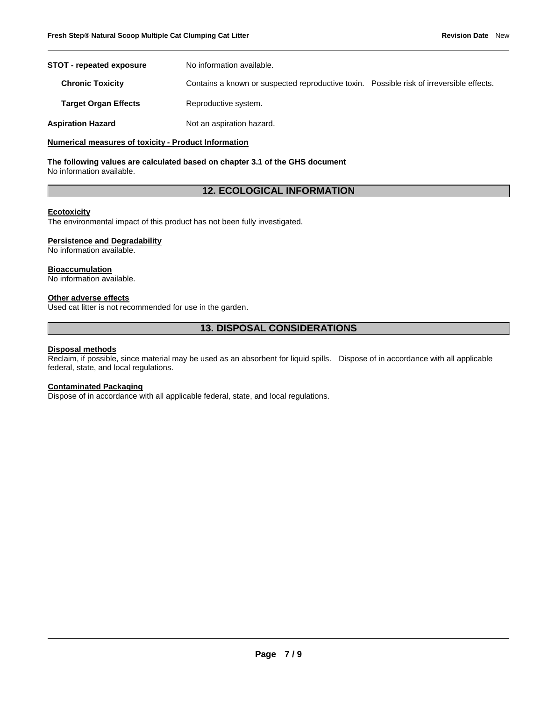| <b>STOT - repeated exposure</b> | No information available.                                                                |  |
|---------------------------------|------------------------------------------------------------------------------------------|--|
| <b>Chronic Toxicity</b>         | Contains a known or suspected reproductive toxin. Possible risk of irreversible effects. |  |
| <b>Target Organ Effects</b>     | Reproductive system.                                                                     |  |
| Aspiration Hazard               | Not an aspiration hazard.                                                                |  |

### **Numerical measures of toxicity - Product Information**

**The following values are calculated based on chapter 3.1 of the GHS document** No information available.

# **12. ECOLOGICAL INFORMATION**

### **Ecotoxicity**

The environmental impact of this product has not been fully investigated.

### **Persistence and Degradability**

No information available.

# **Bioaccumulation**

No information available.

# **Other adverse effects**

Used cat litter is not recommended for use in the garden.

# **13. DISPOSAL CONSIDERATIONS**

### **Disposal methods**

Reclaim, if possible, since material may be used as an absorbent for liquid spills. Dispose of in accordance with all applicable federal, state, and local regulations.

### **Contaminated Packaging**

Dispose of in accordance with all applicable federal, state, and local regulations.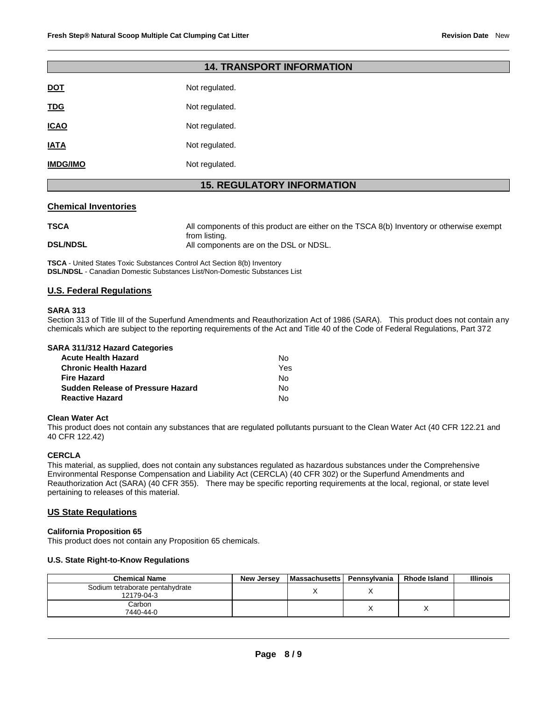| <b>14. TRANSPORT INFORMATION</b>  |                |  |
|-----------------------------------|----------------|--|
| <b>DOT</b>                        | Not regulated. |  |
| <b>TDG</b>                        | Not regulated. |  |
| <b>ICAO</b>                       | Not regulated. |  |
| <b>IATA</b>                       | Not regulated. |  |
| <b>IMDG/IMO</b>                   | Not regulated. |  |
| <b>15. REGULATORY INFORMATION</b> |                |  |

### **Chemical Inventories**

| <b>TSCA</b>     | All components of this product are either on the TSCA 8(b) Inventory or otherwise exempt |
|-----------------|------------------------------------------------------------------------------------------|
|                 | from listing.                                                                            |
| <b>DSL/NDSL</b> | All components are on the DSL or NDSL.                                                   |

**TSCA** - United States Toxic Substances Control Act Section 8(b) Inventory **DSL/NDSL** - Canadian Domestic Substances List/Non-Domestic Substances List

### **U.S. Federal Regulations**

### **SARA 313**

Section 313 of Title III of the Superfund Amendments and Reauthorization Act of 1986 (SARA). This product does not contain any chemicals which are subject to the reporting requirements of the Act and Title 40 of the Code of Federal Regulations, Part 372

|  | <b>SARA 311/312 Hazard Categories</b> |
|--|---------------------------------------|
|  |                                       |

| <b>Acute Health Hazard</b>               | N٥  |
|------------------------------------------|-----|
| <b>Chronic Health Hazard</b>             | Yes |
| <b>Fire Hazard</b>                       | N٥  |
| <b>Sudden Release of Pressure Hazard</b> | N٥  |
| <b>Reactive Hazard</b>                   | N٥  |

### **Clean Water Act**

This product does not contain any substances that are regulated pollutants pursuant to the Clean Water Act (40 CFR 122.21 and 40 CFR 122.42)

# **CERCLA**

This material, as supplied, does not contain any substances regulated as hazardous substances under the Comprehensive Environmental Response Compensation and Liability Act (CERCLA) (40 CFR 302) or the Superfund Amendments and Reauthorization Act (SARA) (40 CFR 355). There may be specific reporting requirements at the local, regional, or state level pertaining to releases of this material.

### **US State Regulations**

### **California Proposition 65**

This product does not contain any Proposition 65 chemicals.

### **U.S. State Right-to-Know Regulations**

| <b>Chemical Name</b>                          | <b>New Jersey</b> | Massachusetts   Pennsylvania | <b>Rhode Island</b> | <b>Illinois</b> |
|-----------------------------------------------|-------------------|------------------------------|---------------------|-----------------|
| Sodium tetraborate pentahydrate<br>12179-04-3 |                   |                              |                     |                 |
| Carbon<br>7440-44-0                           |                   |                              |                     |                 |